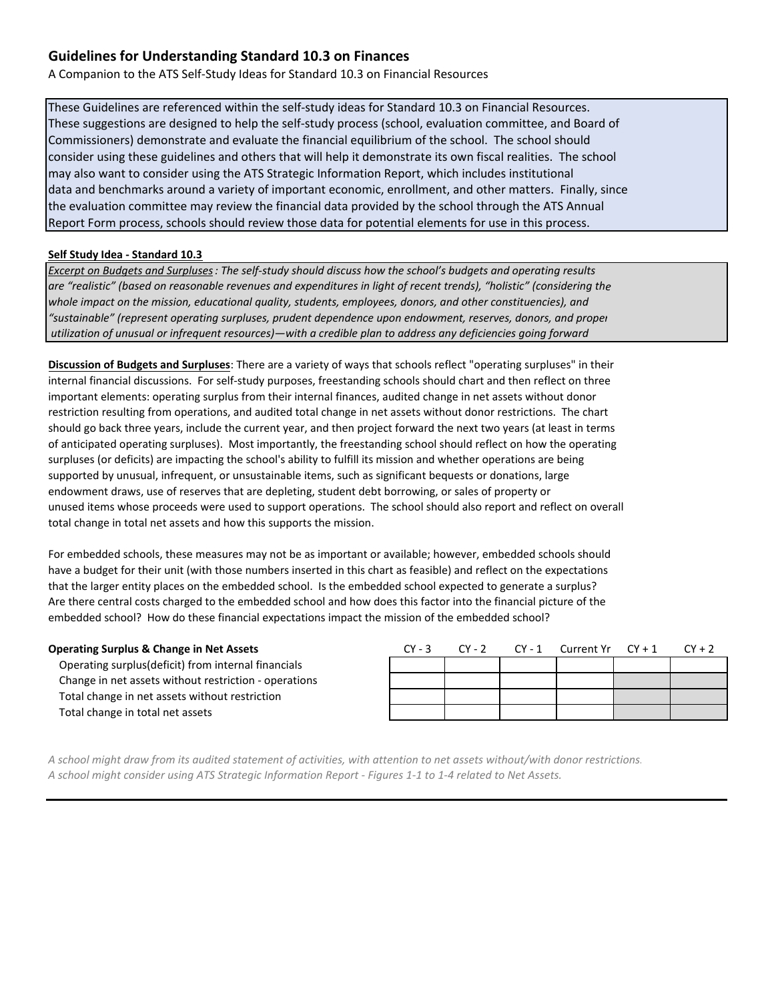A Companion to the ATS Self‐Study Ideas for Standard 10.3 on Financial Resources

These Guidelines are referenced within the self‐study ideas for Standard 10.3 on Financial Resources. These suggestions are designed to help the self‐study process (school, evaluation committee, and Board of Commissioners) demonstrate and evaluate the financial equilibrium of the school. The school should consider using these guidelines and others that will help it demonstrate its own fiscal realities. The school may also want to consider using the ATS Strategic Information Report, which includes institutional data and benchmarks around a variety of important economic, enrollment, and other matters. Finally, since the evaluation committee may review the financial data provided by the school through the ATS Annual Report Form process, schools should review those data for potential elements for use in this process.

### **Self Study Idea ‐ Standard 10.3**

Excerpt on Budgets and Surpluses: The self-study should discuss how the school's budgets and operating results are "realistic" (based on reasonable revenues and expenditures in light of recent trends), "holistic" (considering the *whole impact on the mission, educational quality, students, employees, donors, and other constituencies), and "sustainable" (represent operating surpluses, prudent dependence upon endowment, reserves, donors, and proper utilization of unusual or infrequent resources)—with a credible plan to address any deficiencies going forward*

**Discussion of Budgets and Surpluses**: There are a variety of ways that schools reflect "operating surpluses" in their internal financial discussions. For self‐study purposes, freestanding schools should chart and then reflect on three important elements: operating surplus from their internal finances, audited change in net assets without donor restriction resulting from operations, and audited total change in net assets without donor restrictions. The chart should go back three years, include the current year, and then project forward the next two years (at least in terms of anticipated operating surpluses). Most importantly, the freestanding school should reflect on how the operating surpluses (or deficits) are impacting the school's ability to fulfill its mission and whether operations are being supported by unusual, infrequent, or unsustainable items, such as significant bequests or donations, large endowment draws, use of reserves that are depleting, student debt borrowing, or sales of property or unused items whose proceeds were used to support operations. The school should also report and reflect on overall total change in total net assets and how this supports the mission.

For embedded schools, these measures may not be as important or available; however, embedded schools should have a budget for their unit (with those numbers inserted in this chart as feasible) and reflect on the expectations that the larger entity places on the embedded school. Is the embedded school expected to generate a surplus? Are there central costs charged to the embedded school and how does this factor into the financial picture of the embedded school? How do these financial expectations impact the mission of the embedded school?

#### **Operating Surplus & Change in Net Assets**

 Operating surplus(deficit) from internal financials Change in net assets without restriction ‐ operations Total change in net assets without restriction Total change in total net assets

|  | $CY - 3$ $CY - 2$ $CY - 1$ Current $Yr$ $CY + 1$ $CY + 2$ |  |
|--|-----------------------------------------------------------|--|
|  |                                                           |  |
|  |                                                           |  |
|  |                                                           |  |
|  |                                                           |  |

A school might draw from its audited statement of activities, with attention to net assets without/with donor restrictions. A school might consider using ATS Strategic Information Report - Figures 1-1 to 1-4 related to Net Assets.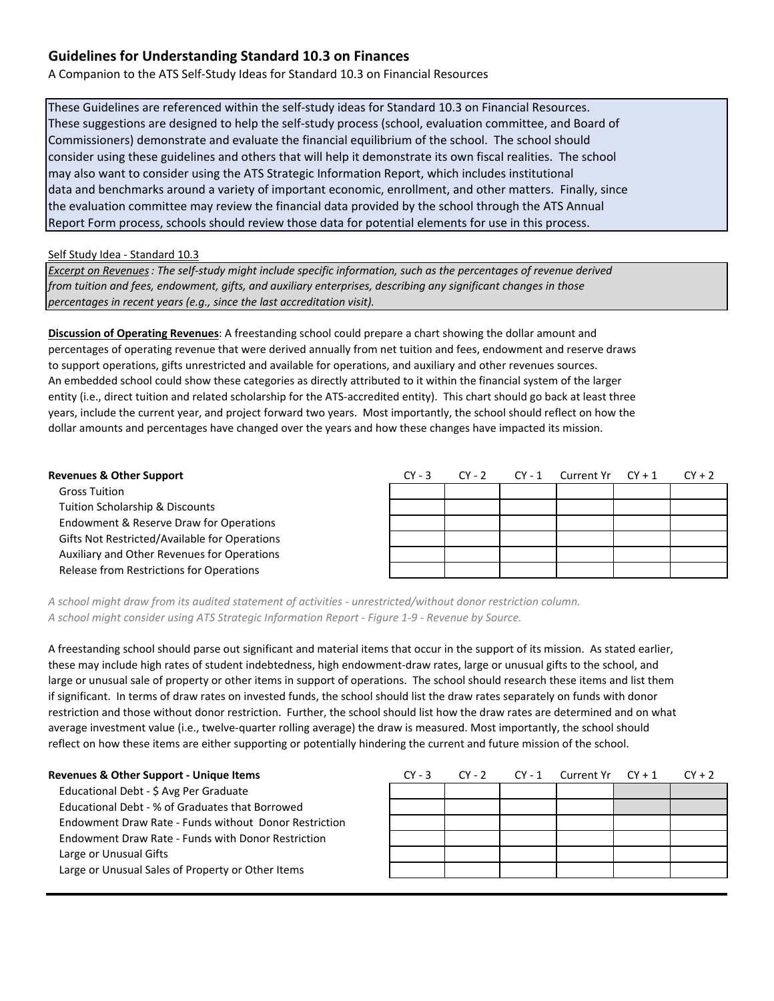A Companion to the ATS Self‐Study Ideas for Standard 10.3 on Financial Resources

These Guidelines are referenced within the self‐study ideas for Standard 10.3 on Financial Resources. These suggestions are designed to help the self‐study process (school, evaluation committee, and Board of Commissioners) demonstrate and evaluate the financial equilibrium of the school. The school should consider using these guidelines and others that will help it demonstrate its own fiscal realities. The school may also want to consider using the ATS Strategic Information Report, which includes institutional data and benchmarks around a variety of important economic, enrollment, and other matters. Finally, since the evaluation committee may review the financial data provided by the school through the ATS Annual Report Form process, schools should review those data for potential elements for use in this process.

Self Study Idea ‐ Standard 10.3

Excerpt on Revenues: The self-study might include specific information, such as the percentages of revenue derived *from tuition and fees, endowment, gifts, and auxiliary enterprises, describing any significant changes in those percentages in recent years (e.g., since the last accreditation visit).*

**Discussion of Operating Revenues**: A freestanding school could prepare a chart showing the dollar amount and percentages of operating revenue that were derived annually from net tuition and fees, endowment and reserve draws to support operations, gifts unrestricted and available for operations, and auxiliary and other revenues sources. An embedded school could show these categories as directly attributed to it within the financial system of the larger entity (i.e., direct tuition and related scholarship for the ATS‐accredited entity). This chart should go back at least three years, include the current year, and project forward two years. Most importantly, the school should reflect on how the dollar amounts and percentages have changed over the years and how these changes have impacted its mission.

| <b>Revenues &amp; Other Support</b>           | $CY - 3$ | $CY - 2$ | $CY - 1$ | Current Yr | $CY + 1$ | $CY + 2$ |
|-----------------------------------------------|----------|----------|----------|------------|----------|----------|
| <b>Gross Tuition</b>                          |          |          |          |            |          |          |
| Tuition Scholarship & Discounts               |          |          |          |            |          |          |
| Endowment & Reserve Draw for Operations       |          |          |          |            |          |          |
| Gifts Not Restricted/Available for Operations |          |          |          |            |          |          |
| Auxiliary and Other Revenues for Operations   |          |          |          |            |          |          |
| Release from Restrictions for Operations      |          |          |          |            |          |          |

*A school might draw from its audited statement of activities ‐ unrestricted/without donor restriction column. A school might consider using ATS Strategic Information Report ‐ Figure 1‐9 ‐ Revenue by Source.*

A freestanding school should parse out significant and material items that occur in the support of its mission. As stated earlier, these may include high rates of student indebtedness, high endowment-draw rates, large or unusual gifts to the school, and large or unusual sale of property or other items in support of operations. The school should research these items and list them if significant. In terms of draw rates on invested funds, the school should list the draw rates separately on funds with donor restriction and those without donor restriction. Further, the school should list how the draw rates are determined and on what average investment value (i.e., twelve-quarter rolling average) the draw is measured. Most importantly, the school should reflect on how these items are either supporting or potentially hindering the current and future mission of the school.

| <b>Revenues &amp; Other Support - Unique Items</b>    | $CY - 3$ | $CY - 2$ | CY - 1 | Current $Yr$ $CY + 1$ | $CY + 2$ |
|-------------------------------------------------------|----------|----------|--------|-----------------------|----------|
| Educational Debt - \$ Avg Per Graduate                |          |          |        |                       |          |
| Educational Debt - % of Graduates that Borrowed       |          |          |        |                       |          |
| Endowment Draw Rate - Funds without Donor Restriction |          |          |        |                       |          |
| Endowment Draw Rate - Funds with Donor Restriction    |          |          |        |                       |          |
| Large or Unusual Gifts                                |          |          |        |                       |          |
| Large or Unusual Sales of Property or Other Items     |          |          |        |                       |          |
|                                                       |          |          |        |                       |          |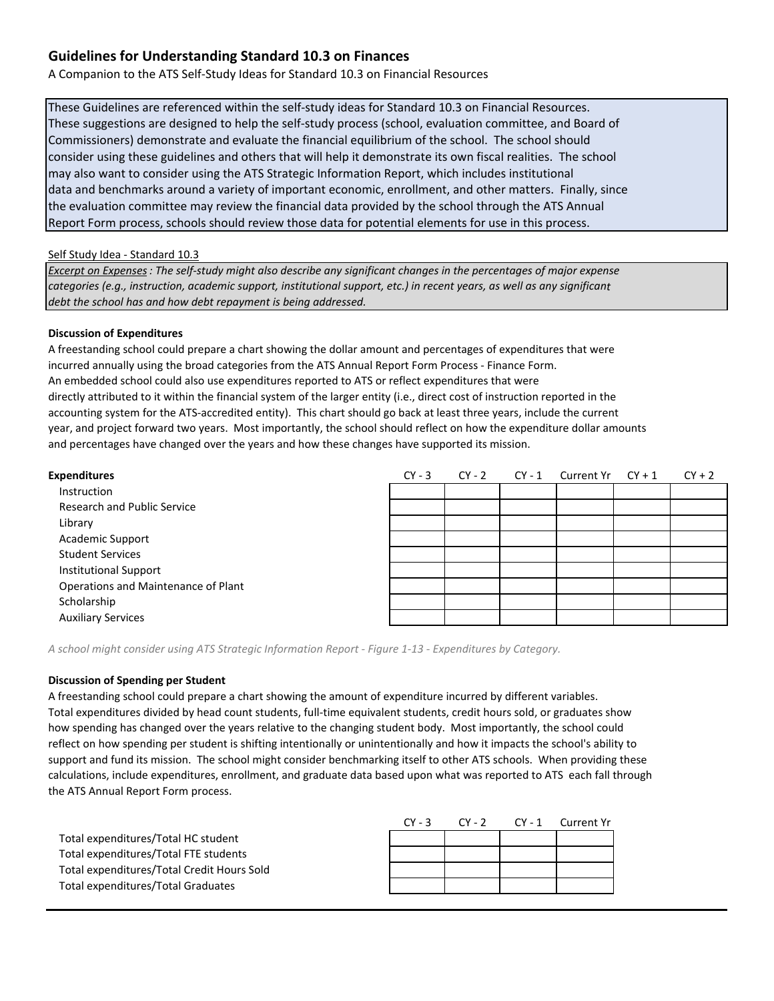A Companion to the ATS Self‐Study Ideas for Standard 10.3 on Financial Resources

These Guidelines are referenced within the self‐study ideas for Standard 10.3 on Financial Resources. These suggestions are designed to help the self‐study process (school, evaluation committee, and Board of Commissioners) demonstrate and evaluate the financial equilibrium of the school. The school should consider using these guidelines and others that will help it demonstrate its own fiscal realities. The school may also want to consider using the ATS Strategic Information Report, which includes institutional data and benchmarks around a variety of important economic, enrollment, and other matters. Finally, since the evaluation committee may review the financial data provided by the school through the ATS Annual Report Form process, schools should review those data for potential elements for use in this process.

Self Study Idea - Standard 10.3

Excerpt on Expenses: The self-study might also describe any significant changes in the percentages of major expense categories (e.g., instruction, academic support, institutional support, etc.) in recent years, as well as any significant *debt the school has and how debt repayment is being addressed.*

### **Discussion of Expenditures**

A freestanding school could prepare a chart showing the dollar amount and percentages of expenditures that were incurred annually using the broad categories from the ATS Annual Report Form Process ‐ Finance Form. An embedded school could also use expenditures reported to ATS or reflect expenditures that were directly attributed to it within the financial system of the larger entity (i.e., direct cost of instruction reported in the accounting system for the ATS‐accredited entity). This chart should go back at least three years, include the current year, and project forward two years. Most importantly, the school should reflect on how the expenditure dollar amounts and percentages have changed over the years and how these changes have supported its mission.

| <b>Expenditures</b>                 | $CY - 3$ | $CY - 2$ | CY - 1 | Current $Yr$ $CY + 1$ | $CY + 2$ |
|-------------------------------------|----------|----------|--------|-----------------------|----------|
| Instruction                         |          |          |        |                       |          |
| <b>Research and Public Service</b>  |          |          |        |                       |          |
| Library                             |          |          |        |                       |          |
| <b>Academic Support</b>             |          |          |        |                       |          |
| <b>Student Services</b>             |          |          |        |                       |          |
| <b>Institutional Support</b>        |          |          |        |                       |          |
| Operations and Maintenance of Plant |          |          |        |                       |          |
| Scholarship                         |          |          |        |                       |          |
| <b>Auxiliary Services</b>           |          |          |        |                       |          |

A school might consider using ATS Strategic Information Report - Figure 1-13 - Expenditures by Category.

#### **Discussion of Spending per Student**

A freestanding school could prepare a chart showing the amount of expenditure incurred by different variables. Total expenditures divided by head count students, full-time equivalent students, credit hours sold, or graduates show how spending has changed over the years relative to the changing student body. Most importantly, the school could reflect on how spending per student is shifting intentionally or unintentionally and how it impacts the school's ability to support and fund its mission. The school might consider benchmarking itself to other ATS schools. When providing these calculations, include expenditures, enrollment, and graduate data based upon what was reported to ATS each fall through the ATS Annual Report Form process.

|                                            | $CY - 3$ | $CY-2$ | CY-1 Current Yr |
|--------------------------------------------|----------|--------|-----------------|
| Total expenditures/Total HC student        |          |        |                 |
| Total expenditures/Total FTE students      |          |        |                 |
| Total expenditures/Total Credit Hours Sold |          |        |                 |
| Total expenditures/Total Graduates         |          |        |                 |